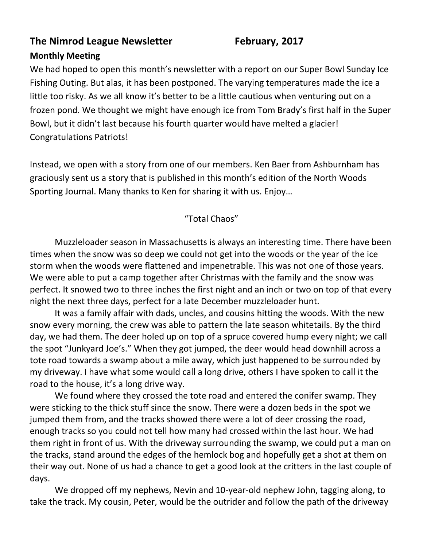## **The Nimrod League Newsletter February, 2017**

# **Monthly Meeting**

We had hoped to open this month's newsletter with a report on our Super Bowl Sunday Ice Fishing Outing. But alas, it has been postponed. The varying temperatures made the ice a little too risky. As we all know it's better to be a little cautious when venturing out on a frozen pond. We thought we might have enough ice from Tom Brady's first half in the Super Bowl, but it didn't last because his fourth quarter would have melted a glacier! Congratulations Patriots!

Instead, we open with a story from one of our members. Ken Baer from Ashburnham has graciously sent us a story that is published in this month's edition of the North Woods Sporting Journal. Many thanks to Ken for sharing it with us. Enjoy…

## "Total Chaos"

Muzzleloader season in Massachusetts is always an interesting time. There have been times when the snow was so deep we could not get into the woods or the year of the ice storm when the woods were flattened and impenetrable. This was not one of those years. We were able to put a camp together after Christmas with the family and the snow was perfect. It snowed two to three inches the first night and an inch or two on top of that every night the next three days, perfect for a late December muzzleloader hunt.

It was a family affair with dads, uncles, and cousins hitting the woods. With the new snow every morning, the crew was able to pattern the late season whitetails. By the third day, we had them. The deer holed up on top of a spruce covered hump every night; we call the spot "Junkyard Joe's." When they got jumped, the deer would head downhill across a tote road towards a swamp about a mile away, which just happened to be surrounded by my driveway. I have what some would call a long drive, others I have spoken to call it the road to the house, it's a long drive way.

We found where they crossed the tote road and entered the conifer swamp. They were sticking to the thick stuff since the snow. There were a dozen beds in the spot we jumped them from, and the tracks showed there were a lot of deer crossing the road, enough tracks so you could not tell how many had crossed within the last hour. We had them right in front of us. With the driveway surrounding the swamp, we could put a man on the tracks, stand around the edges of the hemlock bog and hopefully get a shot at them on their way out. None of us had a chance to get a good look at the critters in the last couple of days.

We dropped off my nephews, Nevin and 10-year-old nephew John, tagging along, to take the track. My cousin, Peter, would be the outrider and follow the path of the driveway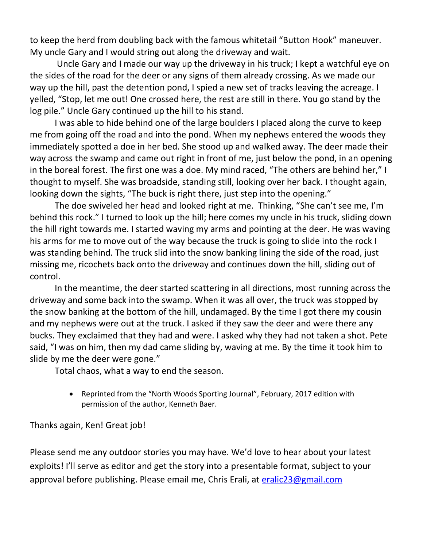to keep the herd from doubling back with the famous whitetail "Button Hook" maneuver. My uncle Gary and I would string out along the driveway and wait.

Uncle Gary and I made our way up the driveway in his truck; I kept a watchful eye on the sides of the road for the deer or any signs of them already crossing. As we made our way up the hill, past the detention pond, I spied a new set of tracks leaving the acreage. I yelled, "Stop, let me out! One crossed here, the rest are still in there. You go stand by the log pile." Uncle Gary continued up the hill to his stand.

I was able to hide behind one of the large boulders I placed along the curve to keep me from going off the road and into the pond. When my nephews entered the woods they immediately spotted a doe in her bed. She stood up and walked away. The deer made their way across the swamp and came out right in front of me, just below the pond, in an opening in the boreal forest. The first one was a doe. My mind raced, "The others are behind her," I thought to myself. She was broadside, standing still, looking over her back. I thought again, looking down the sights, "The buck is right there, just step into the opening."

The doe swiveled her head and looked right at me. Thinking, "She can't see me, I'm behind this rock." I turned to look up the hill; here comes my uncle in his truck, sliding down the hill right towards me. I started waving my arms and pointing at the deer. He was waving his arms for me to move out of the way because the truck is going to slide into the rock I was standing behind. The truck slid into the snow banking lining the side of the road, just missing me, ricochets back onto the driveway and continues down the hill, sliding out of control.

In the meantime, the deer started scattering in all directions, most running across the driveway and some back into the swamp. When it was all over, the truck was stopped by the snow banking at the bottom of the hill, undamaged. By the time I got there my cousin and my nephews were out at the truck. I asked if they saw the deer and were there any bucks. They exclaimed that they had and were. I asked why they had not taken a shot. Pete said, "I was on him, then my dad came sliding by, waving at me. By the time it took him to slide by me the deer were gone."

Total chaos, what a way to end the season.

 Reprinted from the "North Woods Sporting Journal", February, 2017 edition with permission of the author, Kenneth Baer.

Thanks again, Ken! Great job!

Please send me any outdoor stories you may have. We'd love to hear about your latest exploits! I'll serve as editor and get the story into a presentable format, subject to your approval before publishing. Please email me, Chris Erali, at [eralic23@gmail.com](mailto:eralic23@gmail.com)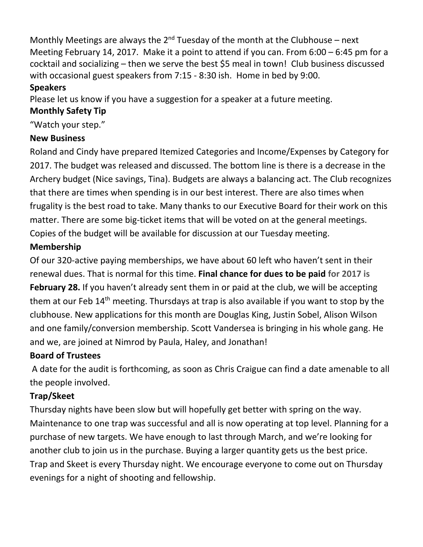Monthly Meetings are always the  $2^{nd}$  Tuesday of the month at the Clubhouse – next Meeting February 14, 2017. Make it a point to attend if you can. From 6:00 – 6:45 pm for a cocktail and socializing – then we serve the best \$5 meal in town! Club business discussed with occasional guest speakers from 7:15 - 8:30 ish. Home in bed by 9:00.

## **Speakers**

Please let us know if you have a suggestion for a speaker at a future meeting. **Monthly Safety Tip**

"Watch your step."

# **New Business**

Roland and Cindy have prepared Itemized Categories and Income/Expenses by Category for 2017. The budget was released and discussed. The bottom line is there is a decrease in the Archery budget (Nice savings, Tina). Budgets are always a balancing act. The Club recognizes that there are times when spending is in our best interest. There are also times when frugality is the best road to take. Many thanks to our Executive Board for their work on this matter. There are some big-ticket items that will be voted on at the general meetings. Copies of the budget will be available for discussion at our Tuesday meeting.

# **Membership**

Of our 320-active paying memberships, we have about 60 left who haven't sent in their renewal dues. That is normal for this time. **Final chance for dues to be paid for 2017 is February 28.** If you haven't already sent them in or paid at the club, we will be accepting them at our Feb  $14<sup>th</sup>$  meeting. Thursdays at trap is also available if you want to stop by the clubhouse. New applications for this month are Douglas King, Justin Sobel, Alison Wilson and one family/conversion membership. Scott Vandersea is bringing in his whole gang. He and we, are joined at Nimrod by Paula, Haley, and Jonathan!

# **Board of Trustees**

A date for the audit is forthcoming, as soon as Chris Craigue can find a date amenable to all the people involved.

# **Trap/Skeet**

Thursday nights have been slow but will hopefully get better with spring on the way. Maintenance to one trap was successful and all is now operating at top level. Planning for a purchase of new targets. We have enough to last through March, and we're looking for another club to join us in the purchase. Buying a larger quantity gets us the best price. Trap and Skeet is every Thursday night. We encourage everyone to come out on Thursday evenings for a night of shooting and fellowship.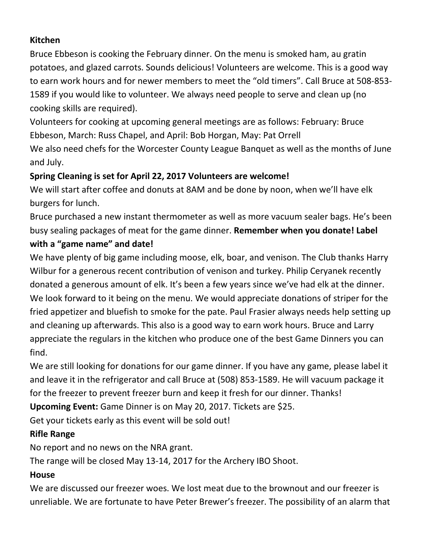## **Kitchen**

Bruce Ebbeson is cooking the February dinner. On the menu is smoked ham, au gratin potatoes, and glazed carrots. Sounds delicious! Volunteers are welcome. This is a good way to earn work hours and for newer members to meet the "old timers". Call Bruce at 508-853- 1589 if you would like to volunteer. We always need people to serve and clean up (no cooking skills are required).

Volunteers for cooking at upcoming general meetings are as follows: February: Bruce Ebbeson, March: Russ Chapel, and April: Bob Horgan, May: Pat Orrell

We also need chefs for the Worcester County League Banquet as well as the months of June and July.

# **Spring Cleaning is set for April 22, 2017 Volunteers are welcome!**

We will start after coffee and donuts at 8AM and be done by noon, when we'll have elk burgers for lunch.

Bruce purchased a new instant thermometer as well as more vacuum sealer bags. He's been busy sealing packages of meat for the game dinner. **Remember when you donate! Label with a "game name" and date!**

We have plenty of big game including moose, elk, boar, and venison. The Club thanks Harry Wilbur for a generous recent contribution of venison and turkey. Philip Ceryanek recently donated a generous amount of elk. It's been a few years since we've had elk at the dinner. We look forward to it being on the menu. We would appreciate donations of striper for the fried appetizer and bluefish to smoke for the pate. Paul Frasier always needs help setting up and cleaning up afterwards. This also is a good way to earn work hours. Bruce and Larry appreciate the regulars in the kitchen who produce one of the best Game Dinners you can find.

We are still looking for donations for our game dinner. If you have any game, please label it and leave it in the refrigerator and call Bruce at (508) 853-1589. He will vacuum package it for the freezer to prevent freezer burn and keep it fresh for our dinner. Thanks!

**Upcoming Event:** Game Dinner is on May 20, 2017. Tickets are \$25.

Get your tickets early as this event will be sold out!

# **Rifle Range**

No report and no news on the NRA grant.

The range will be closed May 13-14, 2017 for the Archery IBO Shoot.

# **House**

We are discussed our freezer woes. We lost meat due to the brownout and our freezer is unreliable. We are fortunate to have Peter Brewer's freezer. The possibility of an alarm that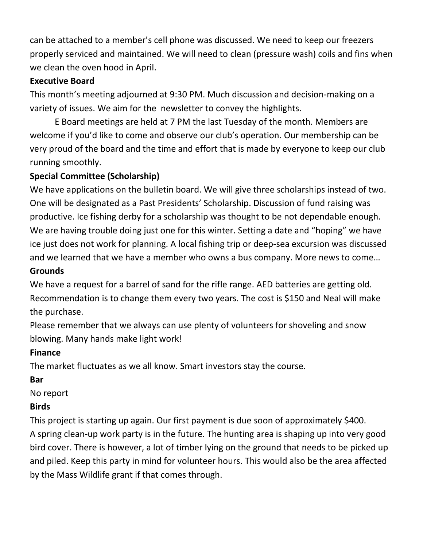can be attached to a member's cell phone was discussed. We need to keep our freezers properly serviced and maintained. We will need to clean (pressure wash) coils and fins when we clean the oven hood in April.

### **Executive Board**

This month's meeting adjourned at 9:30 PM. Much discussion and decision-making on a variety of issues. We aim for the newsletter to convey the highlights.

E Board meetings are held at 7 PM the last Tuesday of the month. Members are welcome if you'd like to come and observe our club's operation. Our membership can be very proud of the board and the time and effort that is made by everyone to keep our club running smoothly.

## **Special Committee (Scholarship)**

We have applications on the bulletin board. We will give three scholarships instead of two. One will be designated as a Past Presidents' Scholarship. Discussion of fund raising was productive. Ice fishing derby for a scholarship was thought to be not dependable enough. We are having trouble doing just one for this winter. Setting a date and "hoping" we have ice just does not work for planning. A local fishing trip or deep-sea excursion was discussed and we learned that we have a member who owns a bus company. More news to come…

### **Grounds**

We have a request for a barrel of sand for the rifle range. AED batteries are getting old. Recommendation is to change them every two years. The cost is \$150 and Neal will make the purchase.

Please remember that we always can use plenty of volunteers for shoveling and snow blowing. Many hands make light work!

## **Finance**

The market fluctuates as we all know. Smart investors stay the course.

# **Bar**

No report

## **Birds**

This project is starting up again. Our first payment is due soon of approximately \$400.

A spring clean-up work party is in the future. The hunting area is shaping up into very good bird cover. There is however, a lot of timber lying on the ground that needs to be picked up and piled. Keep this party in mind for volunteer hours. This would also be the area affected by the Mass Wildlife grant if that comes through.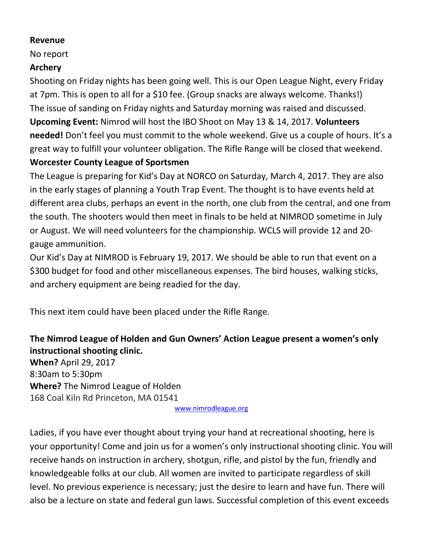#### **Revenue**

No report

## **Archery**

Shooting on Friday nights has been going well. This is our Open League Night, every Friday at 7pm. This is open to all for a \$10 fee. (Group snacks are always welcome. Thanks!) The issue of sanding on Friday nights and Saturday morning was raised and discussed. **Upcoming Event:** Nimrod will host the IBO Shoot on May 13 & 14, 2017. **Volunteers needed!** Don't feel you must commit to the whole weekend. Give us a couple of hours. It's a great way to fulfill your volunteer obligation. The Rifle Range will be closed that weekend.

# **Worcester County League of Sportsmen**

The League is preparing for Kid's Day at NORCO on Saturday, March 4, 2017. They are also in the early stages of planning a Youth Trap Event. The thought is to have events held at different area clubs, perhaps an event in the north, one club from the central, and one from the south. The shooters would then meet in finals to be held at NIMROD sometime in July or August. We will need volunteers for the championship. WCLS will provide 12 and 20 gauge ammunition.

Our Kid's Day at NIMROD is February 19, 2017. We should be able to run that event on a \$300 budget for food and other miscellaneous expenses. The bird houses, walking sticks, and archery equipment are being readied for the day.

This next item could have been placed under the Rifle Range.

# **The Nimrod League of Holden and Gun Owners' Action League present a women's only instructional shooting clinic.**

**When?** April 29, 2017 8:30am to 5:30pm **Where?** The Nimrod League of Holden 168 Coal Kiln Rd Princeton, MA 01541

[www.nimrodleague.org](http://www.nimrodleague.org/)

Ladies, if you have ever thought about trying your hand at recreational shooting, here is your opportunity! Come and join us for a women's only instructional shooting clinic. You will receive hands on instruction in archery, shotgun, rifle, and pistol by the fun, friendly and knowledgeable folks at our club. All women are invited to participate regardless of skill level. No previous experience is necessary; just the desire to learn and have fun. There will also be a lecture on state and federal gun laws. Successful completion of this event exceeds